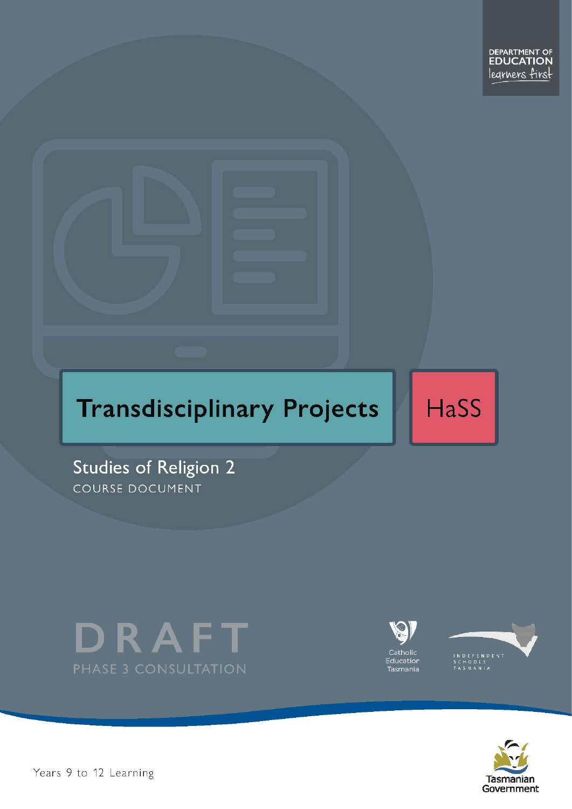

HaSS

Studies of Religion 2 COURSE DOCUMENT







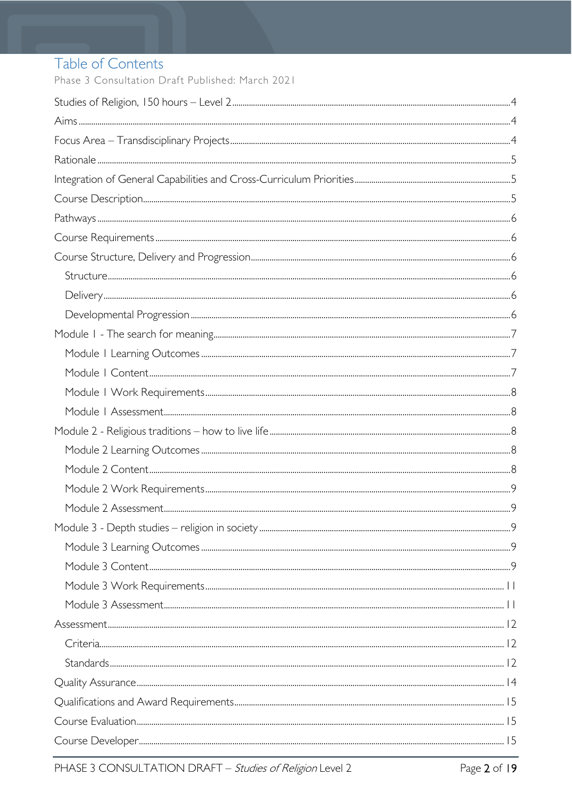# Table of Contents

Phase 3 Consultation Draft Published: March 2021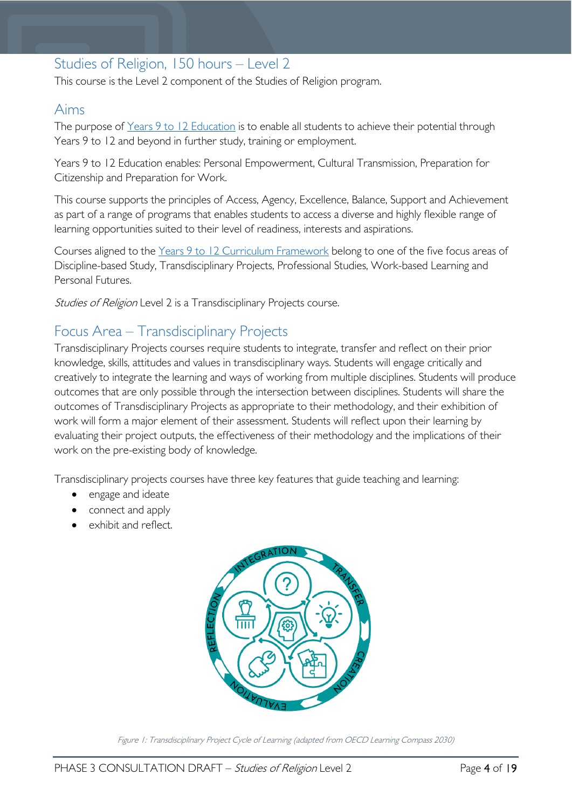# <span id="page-3-0"></span>Studies of Religion, 150 hours – Level 2

This course is the Level 2 component of the Studies of Religion program.

## <span id="page-3-1"></span>Aims

The purpose of Years 9 to 12 [Education](https://publicdocumentcentre.education.tas.gov.au/library/Shared%20Documents/Years-9-to-12-Education-Framework.pdf) is to enable all students to achieve their potential through Years 9 to 12 and beyond in further study, training or employment.

Years 9 to 12 Education enables: Personal Empowerment, Cultural Transmission, Preparation for Citizenship and Preparation for Work.

This course supports the principles of Access, Agency, Excellence, Balance, Support and Achievement as part of a range of programs that enables students to access a diverse and highly flexible range of learning opportunities suited to their level of readiness, interests and aspirations.

Courses aligned to the Years 9 to 12 Curriculum [Framework](https://publicdocumentcentre.education.tas.gov.au/library/Shared%20Documents/Education%209-12%20Frameworks%20A3%20WEB%20POSTER.pdf) belong to one of the five focus areas of Discipline-based Study, Transdisciplinary Projects, Professional Studies, Work-based Learning and Personal Futures.

Studies of Religion Level 2 is a Transdisciplinary Projects course.

# <span id="page-3-2"></span>Focus Area – Transdisciplinary Projects

Transdisciplinary Projects courses require students to integrate, transfer and reflect on their prior knowledge, skills, attitudes and values in transdisciplinary ways. Students will engage critically and creatively to integrate the learning and ways of working from multiple disciplines. Students will produce outcomes that are only possible through the intersection between disciplines. Students will share the outcomes of Transdisciplinary Projects as appropriate to their methodology, and their exhibition of work will form a major element of their assessment. Students will reflect upon their learning by evaluating their project outputs, the effectiveness of their methodology and the implications of their work on the pre-existing body of knowledge.

Transdisciplinary projects courses have three key features that guide teaching and learning:

- engage and ideate
- connect and apply
- exhibit and reflect.



Figure 1: Transdisciplinary Project Cycle of Learning (adapted from OECD Learning Compass 2030)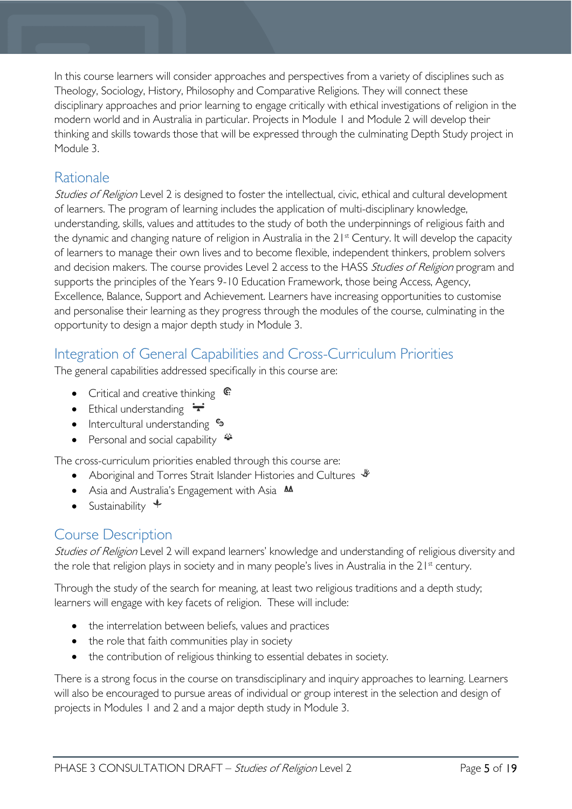In this course learners will consider approaches and perspectives from a variety of disciplines such as Theology, Sociology, History, Philosophy and Comparative Religions. They will connect these disciplinary approaches and prior learning to engage critically with ethical investigations of religion in the modern world and in Australia in particular. Projects in Module 1 and Module 2 will develop their thinking and skills towards those that will be expressed through the culminating Depth Study project in Module 3.

# <span id="page-4-0"></span>**Rationale**

Studies of Religion Level 2 is designed to foster the intellectual, civic, ethical and cultural development of learners. The program of learning includes the application of multi-disciplinary knowledge, understanding, skills, values and attitudes to the study of both the underpinnings of religious faith and the dynamic and changing nature of religion in Australia in the 21<sup>st</sup> Century. It will develop the capacity of learners to manage their own lives and to become flexible, independent thinkers, problem solvers and decision makers. The course provides Level 2 access to the HASS Studies of Religion program and supports the principles of the Years 9-10 Education Framework, those being Access, Agency, Excellence, Balance, Support and Achievement. Learners have increasing opportunities to customise and personalise their learning as they progress through the modules of the course, culminating in the opportunity to design a major depth study in Module 3.

# <span id="page-4-1"></span>Integration of General Capabilities and Cross-Curriculum Priorities

The general capabilities addressed specifically in this course are:

- Critical and creative thinking  $\mathbb{C}$
- Ethical understanding  $\div$
- Intercultural understanding  $\frac{c_3}{b_1}$
- Personal and social capability

The cross-curriculum priorities enabled through this course are:

- Aboriginal and Torres Strait Islander Histories and Cultures  $\mathcal$
- Asia and Australia's Engagement with Asia **AA**
- Sustainability  $\triangleleft$

# <span id="page-4-2"></span>Course Description

Studies of Religion Level 2 will expand learners' knowledge and understanding of religious diversity and the role that religion plays in society and in many people's lives in Australia in the 21<sup>st</sup> century.

Through the study of the search for meaning, at least two religious traditions and a depth study; learners will engage with key facets of religion. These will include:

- the interrelation between beliefs, values and practices
- the role that faith communities play in society
- the contribution of religious thinking to essential debates in society.

There is a strong focus in the course on transdisciplinary and inquiry approaches to learning. Learners will also be encouraged to pursue areas of individual or group interest in the selection and design of projects in Modules 1 and 2 and a major depth study in Module 3.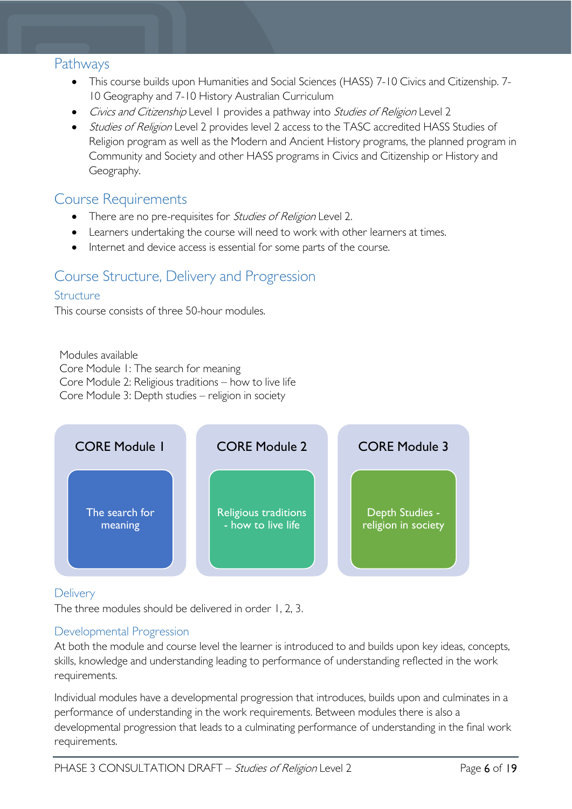## <span id="page-5-0"></span>**Pathways**

- This course builds upon Humanities and Social Sciences (HASS) 7-10 Civics and Citizenship. 7- 10 Geography and 7-10 History Australian Curriculum
- Civics and Citizenship Level 1 provides a pathway into Studies of Religion Level 2
- Studies of Religion Level 2 provides level 2 access to the TASC accredited HASS Studies of Religion program as well as the Modern and Ancient History programs, the planned program in Community and Society and other HASS programs in Civics and Citizenship or History and Geography.

## <span id="page-5-1"></span>Course Requirements

- There are no pre-requisites for *Studies of Religion* Level 2.
- Learners undertaking the course will need to work with other learners at times.
- Internet and device access is essential for some parts of the course.

# <span id="page-5-2"></span>Course Structure, Delivery and Progression

## <span id="page-5-3"></span>**Structure**

This course consists of three 50-hour modules.

Modules available Core Module 1: The search for meaning Core Module 2: Religious traditions – how to live life Core Module 3: Depth studies – religion in society



<span id="page-5-4"></span>**Delivery** 

The three modules should be delivered in order 1, 2, 3.

## <span id="page-5-5"></span>Developmental Progression

At both the module and course level the learner is introduced to and builds upon key ideas, concepts, skills, knowledge and understanding leading to performance of understanding reflected in the work requirements.

Individual modules have a developmental progression that introduces, builds upon and culminates in a performance of understanding in the work requirements. Between modules there is also a developmental progression that leads to a culminating performance of understanding in the final work requirements.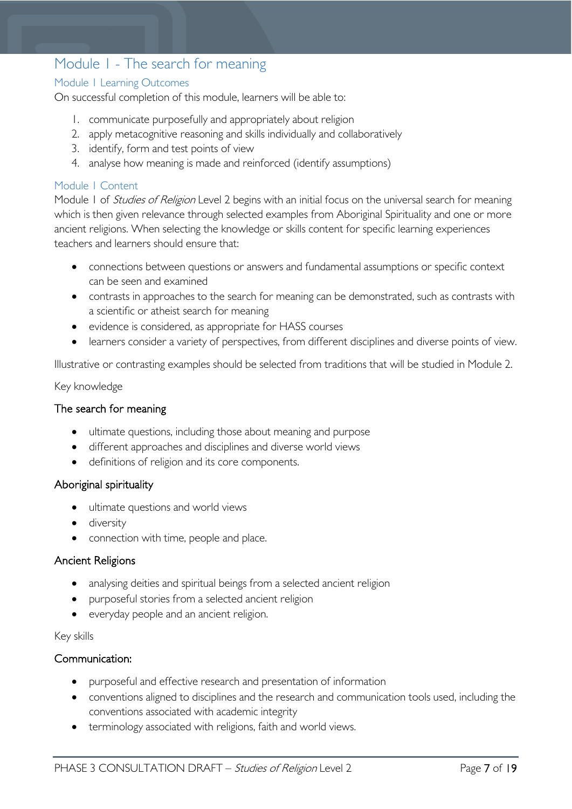# <span id="page-6-0"></span>Module 1 - The search for meaning

## <span id="page-6-1"></span>Module 1 Learning Outcomes

On successful completion of this module, learners will be able to:

- 1. communicate purposefully and appropriately about religion
- 2. apply metacognitive reasoning and skills individually and collaboratively
- 3. identify, form and test points of view
- 4. analyse how meaning is made and reinforced (identify assumptions)

## <span id="page-6-2"></span>Module 1 Content

Module 1 of *Studies of Religion* Level 2 begins with an initial focus on the universal search for meaning which is then given relevance through selected examples from Aboriginal Spirituality and one or more ancient religions. When selecting the knowledge or skills content for specific learning experiences teachers and learners should ensure that:

- connections between questions or answers and fundamental assumptions or specific context can be seen and examined
- contrasts in approaches to the search for meaning can be demonstrated, such as contrasts with a scientific or atheist search for meaning
- evidence is considered, as appropriate for HASS courses
- learners consider a variety of perspectives, from different disciplines and diverse points of view.

Illustrative or contrasting examples should be selected from traditions that will be studied in Module 2.

## Key knowledge

## The search for meaning

- ultimate questions, including those about meaning and purpose
- different approaches and disciplines and diverse world views
- definitions of religion and its core components.

## Aboriginal spirituality

- ultimate questions and world views
- diversity
- connection with time, people and place.

## Ancient Religions

- analysing deities and spiritual beings from a selected ancient religion
- purposeful stories from a selected ancient religion
- everyday people and an ancient religion.

#### Key skills

#### Communication:

- purposeful and effective research and presentation of information
- conventions aligned to disciplines and the research and communication tools used, including the conventions associated with academic integrity
- terminology associated with religions, faith and world views.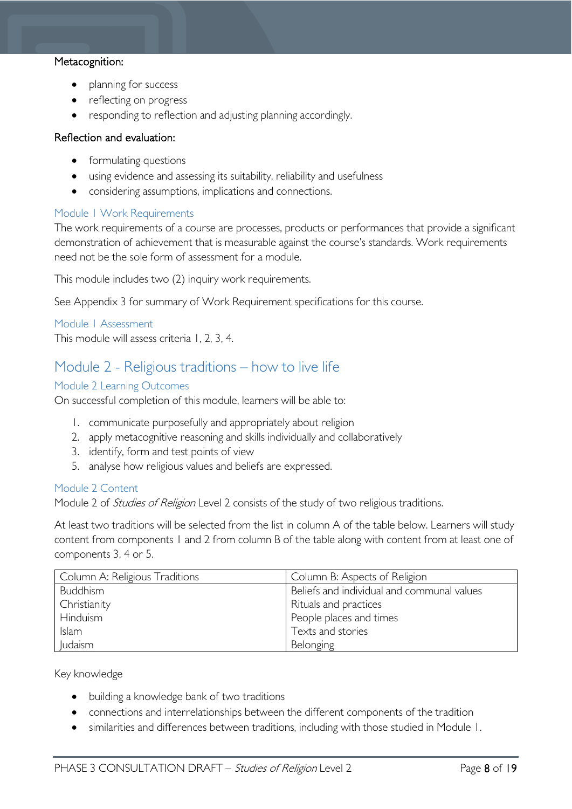### Metacognition:

- planning for success
- reflecting on progress
- responding to reflection and adjusting planning accordingly.

#### Reflection and evaluation:

- formulating questions
- using evidence and assessing its suitability, reliability and usefulness
- considering assumptions, implications and connections.

## <span id="page-7-0"></span>Module 1 Work Requirements

The work requirements of a course are processes, products or performances that provide a significant demonstration of achievement that is measurable against the course's standards. Work requirements need not be the sole form of assessment for a module.

This module includes two (2) inquiry work requirements.

See Appendix 3 for summary of Work Requirement specifications for this course.

<span id="page-7-1"></span>Module 1 Assessment

This module will assess criteria 1, 2, 3, 4.

## <span id="page-7-2"></span>Module 2 - Religious traditions – how to live life

#### <span id="page-7-3"></span>Module 2 Learning Outcomes

On successful completion of this module, learners will be able to:

- 1. communicate purposefully and appropriately about religion
- 2. apply metacognitive reasoning and skills individually and collaboratively
- 3. identify, form and test points of view
- 5. analyse how religious values and beliefs are expressed.

#### <span id="page-7-4"></span>Module 2 Content

Module 2 of *Studies of Religion* Level 2 consists of the study of two religious traditions.

At least two traditions will be selected from the list in column A of the table below. Learners will study content from components 1 and 2 from column B of the table along with content from at least one of components 3, 4 or 5.

| Column A: Religious Traditions | Column B: Aspects of Religion              |
|--------------------------------|--------------------------------------------|
| <b>Buddhism</b>                | Beliefs and individual and communal values |
| Christianity                   | Rituals and practices                      |
| Hinduism                       | People places and times                    |
| Islam                          | Texts and stories                          |
| ludaism                        | Belonging                                  |

Key knowledge

- building a knowledge bank of two traditions
- connections and interrelationships between the different components of the tradition
- similarities and differences between traditions, including with those studied in Module 1.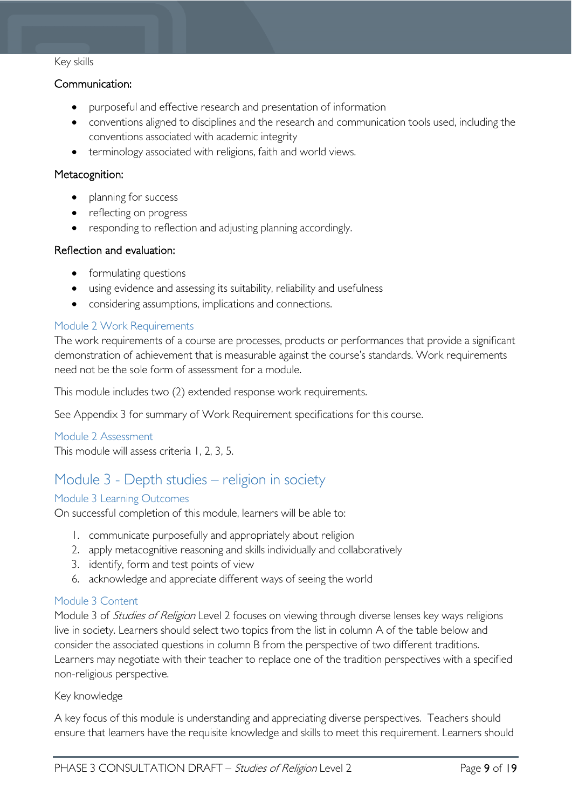### Key skills

## Communication:

- purposeful and effective research and presentation of information
- conventions aligned to disciplines and the research and communication tools used, including the conventions associated with academic integrity
- terminology associated with religions, faith and world views.

## Metacognition:

- planning for success
- reflecting on progress
- responding to reflection and adjusting planning accordingly.

## Reflection and evaluation:

- formulating questions
- using evidence and assessing its suitability, reliability and usefulness
- considering assumptions, implications and connections.

## <span id="page-8-0"></span>Module 2 Work Requirements

The work requirements of a course are processes, products or performances that provide a significant demonstration of achievement that is measurable against the course's standards. Work requirements need not be the sole form of assessment for a module.

This module includes two (2) extended response work requirements.

See Appendix 3 for summary of Work Requirement specifications for this course.

## <span id="page-8-1"></span>Module 2 Assessment

This module will assess criteria 1, 2, 3, 5.

# <span id="page-8-2"></span>Module 3 - Depth studies – religion in society

## <span id="page-8-3"></span>Module 3 Learning Outcomes

On successful completion of this module, learners will be able to:

- 1. communicate purposefully and appropriately about religion
- 2. apply metacognitive reasoning and skills individually and collaboratively
- 3. identify, form and test points of view
- 6. acknowledge and appreciate different ways of seeing the world

## <span id="page-8-4"></span>Module 3 Content

Module 3 of *Studies of Religion* Level 2 focuses on viewing through diverse lenses key ways religions live in society. Learners should select two topics from the list in column A of the table below and consider the associated questions in column B from the perspective of two different traditions. Learners may negotiate with their teacher to replace one of the tradition perspectives with a specified non-religious perspective.

## Key knowledge

A key focus of this module is understanding and appreciating diverse perspectives. Teachers should ensure that learners have the requisite knowledge and skills to meet this requirement. Learners should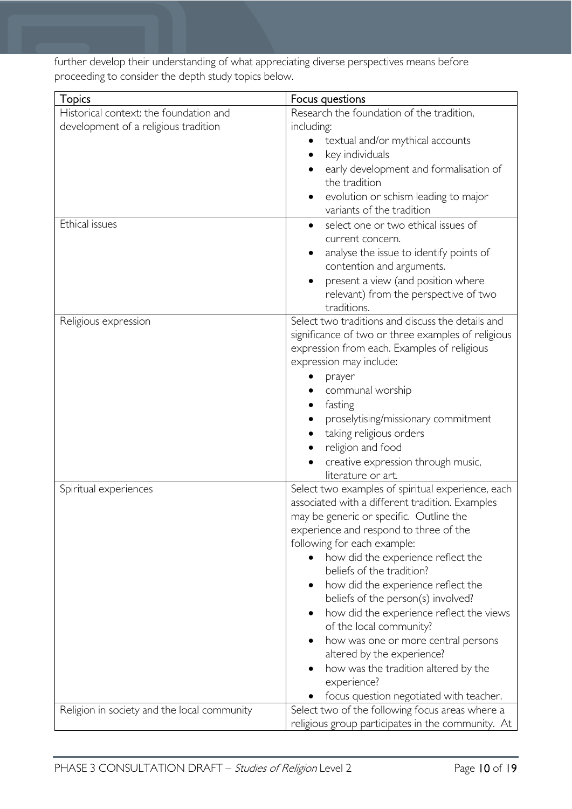further develop their understanding of what appreciating diverse perspectives means before proceeding to consider the depth study topics below.

| <b>Topics</b>                               | Focus questions                                                                   |  |  |
|---------------------------------------------|-----------------------------------------------------------------------------------|--|--|
| Historical context: the foundation and      | Research the foundation of the tradition,                                         |  |  |
| development of a religious tradition        | including:                                                                        |  |  |
|                                             | textual and/or mythical accounts                                                  |  |  |
|                                             | key individuals                                                                   |  |  |
|                                             | early development and formalisation of                                            |  |  |
|                                             | the tradition                                                                     |  |  |
|                                             | evolution or schism leading to major                                              |  |  |
|                                             | variants of the tradition                                                         |  |  |
| Ethical issues                              | select one or two ethical issues of                                               |  |  |
|                                             | current concern.                                                                  |  |  |
|                                             | analyse the issue to identify points of<br>$\bullet$                              |  |  |
|                                             | contention and arguments.                                                         |  |  |
|                                             | present a view (and position where<br>$\bullet$                                   |  |  |
|                                             | relevant) from the perspective of two                                             |  |  |
|                                             | traditions.                                                                       |  |  |
| Religious expression                        | Select two traditions and discuss the details and                                 |  |  |
|                                             | significance of two or three examples of religious                                |  |  |
|                                             | expression from each. Examples of religious                                       |  |  |
|                                             | expression may include:                                                           |  |  |
|                                             | prayer                                                                            |  |  |
|                                             | communal worship                                                                  |  |  |
|                                             | fasting                                                                           |  |  |
|                                             | proselytising/missionary commitment                                               |  |  |
|                                             | taking religious orders                                                           |  |  |
|                                             | religion and food                                                                 |  |  |
|                                             | creative expression through music,                                                |  |  |
|                                             | literature or art.                                                                |  |  |
| Spiritual experiences                       | Select two examples of spiritual experience, each                                 |  |  |
|                                             | associated with a different tradition. Examples                                   |  |  |
|                                             | may be generic or specific. Outline the<br>experience and respond to three of the |  |  |
|                                             | following for each example:                                                       |  |  |
|                                             | how did the experience reflect the<br>$\bullet$                                   |  |  |
|                                             | beliefs of the tradition?                                                         |  |  |
|                                             | how did the experience reflect the                                                |  |  |
|                                             | beliefs of the person(s) involved?                                                |  |  |
|                                             | how did the experience reflect the views<br>$\bullet$                             |  |  |
|                                             | of the local community?                                                           |  |  |
|                                             | how was one or more central persons<br>$\bullet$                                  |  |  |
|                                             | altered by the experience?                                                        |  |  |
|                                             | how was the tradition altered by the                                              |  |  |
|                                             | experience?                                                                       |  |  |
|                                             | focus question negotiated with teacher.                                           |  |  |
| Religion in society and the local community | Select two of the following focus areas where a                                   |  |  |
|                                             | religious group participates in the community. At                                 |  |  |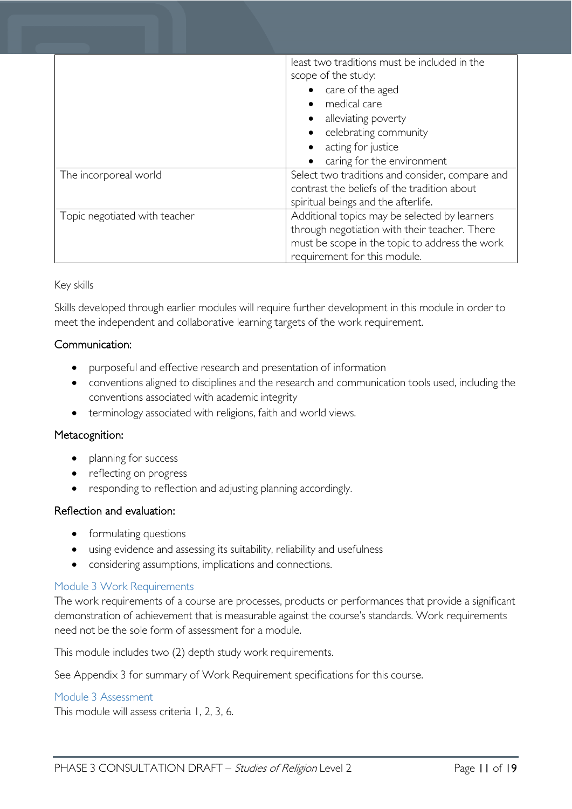|                               | least two traditions must be included in the<br>scope of the study:<br>care of the aged<br>medical care<br>$\bullet$<br>• alleviating poverty<br>celebrating community<br>acting for justice<br>$\bullet$<br>caring for the environment |
|-------------------------------|-----------------------------------------------------------------------------------------------------------------------------------------------------------------------------------------------------------------------------------------|
| The incorporeal world         | Select two traditions and consider, compare and<br>contrast the beliefs of the tradition about<br>spiritual beings and the afterlife.                                                                                                   |
| Topic negotiated with teacher | Additional topics may be selected by learners<br>through negotiation with their teacher. There<br>must be scope in the topic to address the work<br>requirement for this module.                                                        |

## Key skills

Skills developed through earlier modules will require further development in this module in order to meet the independent and collaborative learning targets of the work requirement.

## Communication:

- purposeful and effective research and presentation of information
- conventions aligned to disciplines and the research and communication tools used, including the conventions associated with academic integrity
- terminology associated with religions, faith and world views.

## Metacognition:

- planning for success
- reflecting on progress
- responding to reflection and adjusting planning accordingly.

## Reflection and evaluation:

- formulating questions
- using evidence and assessing its suitability, reliability and usefulness
- considering assumptions, implications and connections.

## <span id="page-10-0"></span>Module 3 Work Requirements

The work requirements of a course are processes, products or performances that provide a significant demonstration of achievement that is measurable against the course's standards. Work requirements need not be the sole form of assessment for a module.

This module includes two (2) depth study work requirements.

See Appendix 3 for summary of Work Requirement specifications for this course.

#### <span id="page-10-1"></span>Module 3 Assessment

This module will assess criteria 1, 2, 3, 6.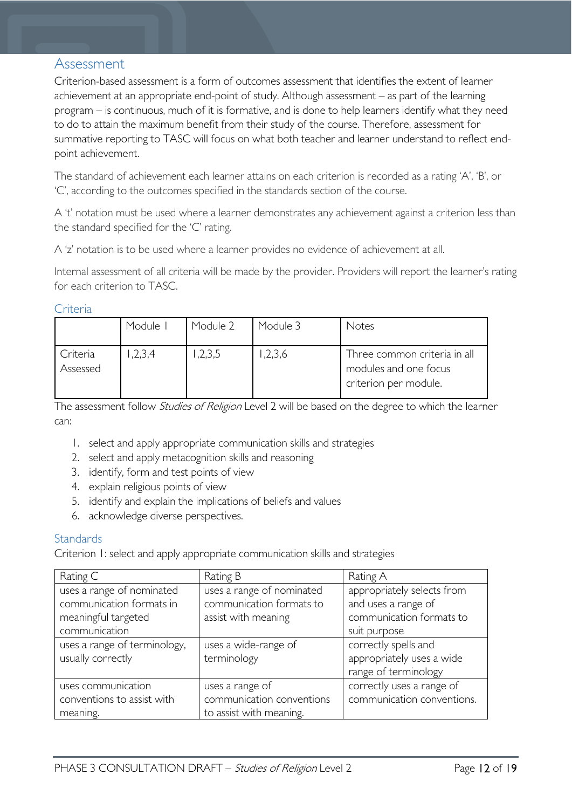## <span id="page-11-0"></span>Assessment

Criterion-based assessment is a form of outcomes assessment that identifies the extent of learner achievement at an appropriate end-point of study. Although assessment – as part of the learning program – is continuous, much of it is formative, and is done to help learners identify what they need to do to attain the maximum benefit from their study of the course. Therefore, assessment for summative reporting to TASC will focus on what both teacher and learner understand to reflect endpoint achievement.

The standard of achievement each learner attains on each criterion is recorded as a rating 'A', 'B', or 'C', according to the outcomes specified in the standards section of the course.

A 't' notation must be used where a learner demonstrates any achievement against a criterion less than the standard specified for the 'C' rating.

A 'z' notation is to be used where a learner provides no evidence of achievement at all.

Internal assessment of all criteria will be made by the provider. Providers will report the learner's rating for each criterion to TASC.

#### <span id="page-11-1"></span>**Criteria**

|                      | Module I | Module 2 | Module 3 | Notes                                                                          |
|----------------------|----------|----------|----------|--------------------------------------------------------------------------------|
| Criteria<br>Assessed | 2,3,4    | ,2,3,5   | ,2,3,6   | Three common criteria in all<br>modules and one focus<br>criterion per module. |

The assessment follow *Studies of Religion* Level 2 will be based on the degree to which the learner can:

- 1. select and apply appropriate communication skills and strategies
- 2. select and apply metacognition skills and reasoning
- 3. identify, form and test points of view
- 4. explain religious points of view
- 5. identify and explain the implications of beliefs and values
- 6. acknowledge diverse perspectives.

## <span id="page-11-2"></span>**Standards**

Criterion 1: select and apply appropriate communication skills and strategies

| Rating C                     | Rating B                  | Rating A                   |
|------------------------------|---------------------------|----------------------------|
| uses a range of nominated    | uses a range of nominated | appropriately selects from |
| communication formats in     | communication formats to  | and uses a range of        |
| meaningful targeted          | assist with meaning       | communication formats to   |
| communication                |                           | suit purpose               |
| uses a range of terminology, | uses a wide-range of      | correctly spells and       |
| usually correctly            | terminology               | appropriately uses a wide  |
|                              |                           | range of terminology       |
| uses communication           | uses a range of           | correctly uses a range of  |
| conventions to assist with   | communication conventions | communication conventions. |
| meaning.                     | to assist with meaning.   |                            |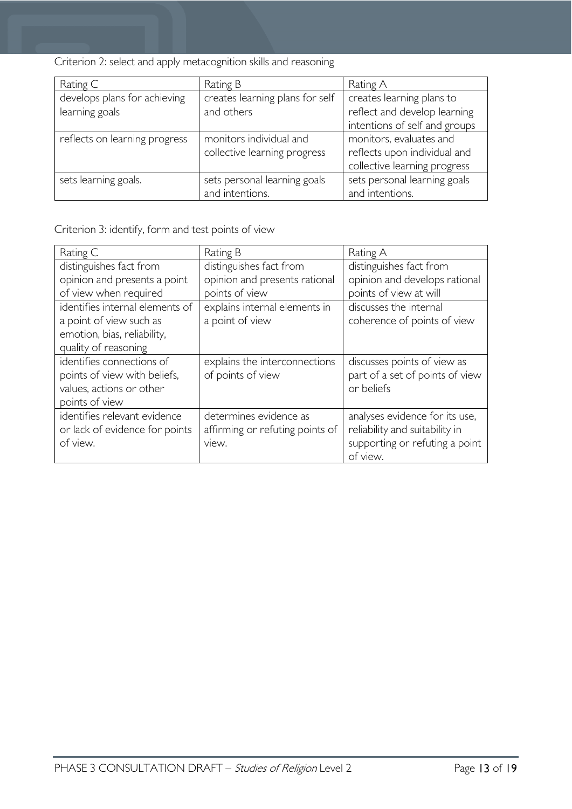Criterion 2: select and apply metacognition skills and reasoning

| Rating C                      | Rating B                        | Rating A                      |
|-------------------------------|---------------------------------|-------------------------------|
| develops plans for achieving  | creates learning plans for self | creates learning plans to     |
| learning goals                | and others                      | reflect and develop learning  |
|                               |                                 | intentions of self and groups |
| reflects on learning progress | monitors individual and         | monitors, evaluates and       |
|                               | collective learning progress    | reflects upon individual and  |
|                               |                                 | collective learning progress  |
| sets learning goals.          | sets personal learning goals    | sets personal learning goals  |
|                               | and intentions.                 | and intentions.               |

Criterion 3: identify, form and test points of view

| Rating C                        | Rating B                        | Rating A                        |
|---------------------------------|---------------------------------|---------------------------------|
| distinguishes fact from         | distinguishes fact from         | distinguishes fact from         |
| opinion and presents a point    | opinion and presents rational   | opinion and develops rational   |
| of view when required           | points of view                  | points of view at will          |
| identifies internal elements of | explains internal elements in   | discusses the internal          |
| a point of view such as         | a point of view                 | coherence of points of view     |
| emotion, bias, reliability,     |                                 |                                 |
| quality of reasoning            |                                 |                                 |
| identifies connections of       | explains the interconnections   | discusses points of view as     |
| points of view with beliefs,    | of points of view               | part of a set of points of view |
| values, actions or other        |                                 | or beliefs                      |
| points of view                  |                                 |                                 |
| identifies relevant evidence    | determines evidence as          | analyses evidence for its use,  |
| or lack of evidence for points  | affirming or refuting points of | reliability and suitability in  |
| of view.                        | view.                           | supporting or refuting a point  |
|                                 |                                 | of view.                        |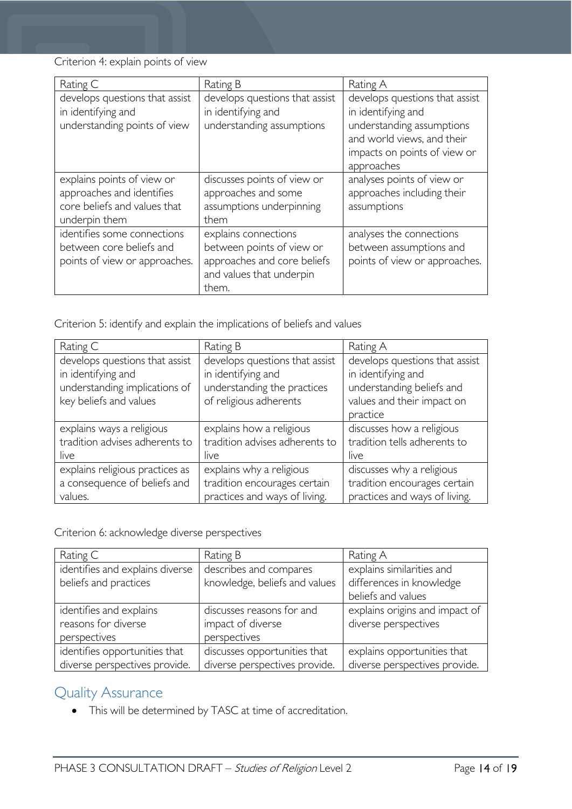Criterion 4: explain points of view

| Rating C                                                                                                 | Rating B                                                                                                              | Rating A                                                                                                                                                      |
|----------------------------------------------------------------------------------------------------------|-----------------------------------------------------------------------------------------------------------------------|---------------------------------------------------------------------------------------------------------------------------------------------------------------|
| develops questions that assist<br>in identifying and<br>understanding points of view                     | develops questions that assist<br>in identifying and<br>understanding assumptions                                     | develops questions that assist<br>in identifying and<br>understanding assumptions<br>and world views, and their<br>impacts on points of view or<br>approaches |
| explains points of view or<br>approaches and identifies<br>core beliefs and values that<br>underpin them | discusses points of view or<br>approaches and some<br>assumptions underpinning<br>them                                | analyses points of view or<br>approaches including their<br>assumptions                                                                                       |
| identifies some connections<br>between core beliefs and<br>points of view or approaches.                 | explains connections<br>between points of view or<br>approaches and core beliefs<br>and values that underpin<br>them. | analyses the connections<br>between assumptions and<br>points of view or approaches.                                                                          |

Criterion 5: identify and explain the implications of beliefs and values

| Rating C                        | Rating B                       | Rating A                       |
|---------------------------------|--------------------------------|--------------------------------|
| develops questions that assist  | develops questions that assist | develops questions that assist |
| in identifying and              | in identifying and             | in identifying and             |
| understanding implications of   | understanding the practices    | understanding beliefs and      |
| key beliefs and values          | of religious adherents         | values and their impact on     |
|                                 |                                | practice                       |
| explains ways a religious       | explains how a religious       | discusses how a religious      |
| tradition advises adherents to  | tradition advises adherents to | tradition tells adherents to   |
| live                            | live                           | live                           |
| explains religious practices as | explains why a religious       | discusses why a religious      |
| a consequence of beliefs and    | tradition encourages certain   | tradition encourages certain   |
| values.                         | practices and ways of living.  | practices and ways of living.  |

Criterion 6: acknowledge diverse perspectives

| Rating C                        | Rating B                      | Rating A                       |
|---------------------------------|-------------------------------|--------------------------------|
| identifies and explains diverse | describes and compares        | explains similarities and      |
| beliefs and practices           | knowledge, beliefs and values | differences in knowledge       |
|                                 |                               | beliefs and values             |
| identifies and explains         | discusses reasons for and     | explains origins and impact of |
| reasons for diverse             | impact of diverse             | diverse perspectives           |
| perspectives                    | perspectives                  |                                |
| identifies opportunities that   | discusses opportunities that  | explains opportunities that    |
| diverse perspectives provide.   | diverse perspectives provide. | diverse perspectives provide.  |

# <span id="page-13-0"></span>Quality Assurance

• This will be determined by TASC at time of accreditation.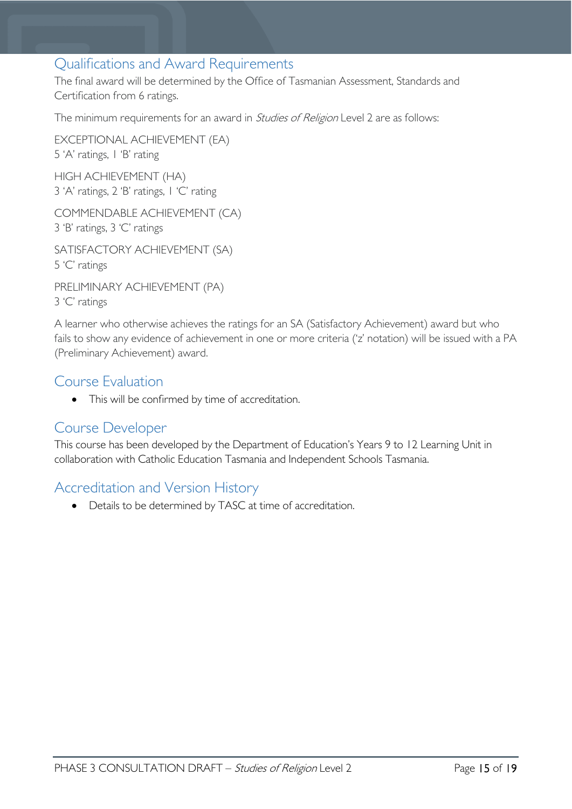## <span id="page-14-0"></span>Qualifications and Award Requirements

The final award will be determined by the Office of Tasmanian Assessment, Standards and Certification from 6 ratings.

The minimum requirements for an award in *Studies of Religion* Level 2 are as follows:

EXCEPTIONAL ACHIEVEMENT (EA) 5 'A' ratings, 1 'B' rating HIGH ACHIEVEMENT (HA)

3 'A' ratings, 2 'B' ratings, 1 'C' rating

COMMENDABLE ACHIEVEMENT (CA) 3 'B' ratings, 3 'C' ratings

SATISFACTORY ACHIEVEMENT (SA) 5 'C' ratings

PRELIMINARY ACHIEVEMENT (PA) 3 'C' ratings

A learner who otherwise achieves the ratings for an SA (Satisfactory Achievement) award but who fails to show any evidence of achievement in one or more criteria ('z' notation) will be issued with a PA (Preliminary Achievement) award.

## <span id="page-14-1"></span>Course Evaluation

• This will be confirmed by time of accreditation.

## <span id="page-14-2"></span>Course Developer

This course has been developed by the Department of Education's Years 9 to 12 Learning Unit in collaboration with Catholic Education Tasmania and Independent Schools Tasmania.

## <span id="page-14-3"></span>Accreditation and Version History

• Details to be determined by TASC at time of accreditation.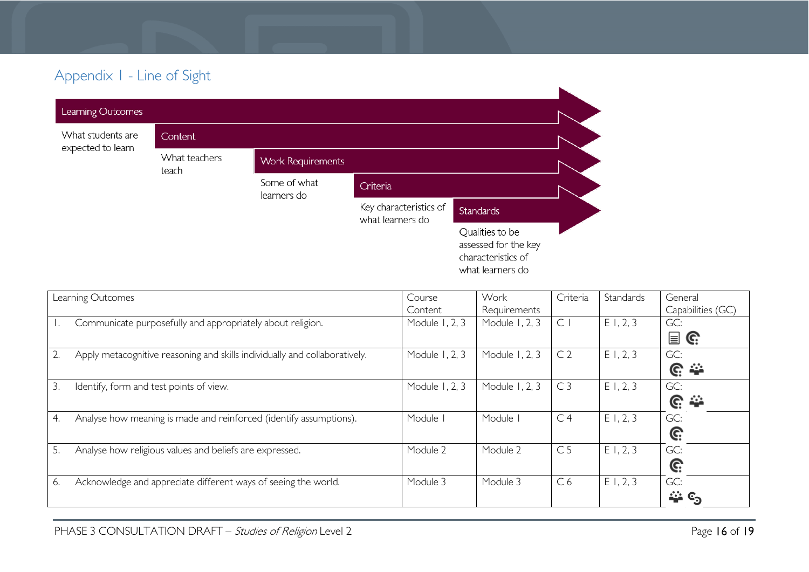# Appendix 1 - Line of Sight

|                                        | $\tilde{\phantom{a}}$  |                             |                                            |                                                                                   |  |
|----------------------------------------|------------------------|-----------------------------|--------------------------------------------|-----------------------------------------------------------------------------------|--|
| Learning Outcomes                      |                        |                             |                                            |                                                                                   |  |
| What students are<br>expected to learn | Content                |                             |                                            |                                                                                   |  |
|                                        | What teachers<br>teach | <b>Work Requirements</b>    |                                            |                                                                                   |  |
|                                        |                        | Some of what<br>learners do | Criteria                                   |                                                                                   |  |
|                                        |                        |                             | Key characteristics of<br>what learners do | <b>Standards</b>                                                                  |  |
|                                        |                        |                             |                                            | Qualities to be<br>assessed for the key<br>characteristics of<br>what learners do |  |

<span id="page-15-0"></span>

| Learning Outcomes |                                                                            | Course         | Work           | Criteria       | Standards | General           |
|-------------------|----------------------------------------------------------------------------|----------------|----------------|----------------|-----------|-------------------|
|                   |                                                                            | Content        | Requirements   |                |           | Capabilities (GC) |
|                   | Communicate purposefully and appropriately about religion.                 | Module 1, 2, 3 | Module 1, 2, 3 | $\subset$      | E1, 2, 3  | GC:               |
|                   |                                                                            |                |                |                |           | 冒<br>C:           |
| 2.                | Apply metacognitive reasoning and skills individually and collaboratively. | Module 1, 2, 3 | Module 1, 2, 3 | C <sub>2</sub> | E1, 2, 3  | GC:               |
|                   |                                                                            |                |                |                |           | <u>ଙ୍</u>         |
| 3.                | Identify, form and test points of view.                                    | Module 1, 2, 3 | Module 1, 2, 3 | C <sub>3</sub> | E1, 2, 3  | GC:               |
|                   |                                                                            |                |                |                |           | <u>ଙ୍</u>         |
| 4.                | Analyse how meaning is made and reinforced (identify assumptions).         | Module         | Module         | C <sub>4</sub> | E1, 2, 3  | GC:               |
|                   |                                                                            |                |                |                |           | G:                |
| 5.                | Analyse how religious values and beliefs are expressed.                    | Module 2       | Module 2       | C <sub>5</sub> | E1, 2, 3  | GC:               |
|                   |                                                                            |                |                |                |           | Ĝ.                |
| 6.                | Acknowledge and appreciate different ways of seeing the world.             | Module 3       | Module 3       | C <sub>6</sub> | E1, 2, 3  | GC:               |
|                   |                                                                            |                |                |                |           | —ు ్య             |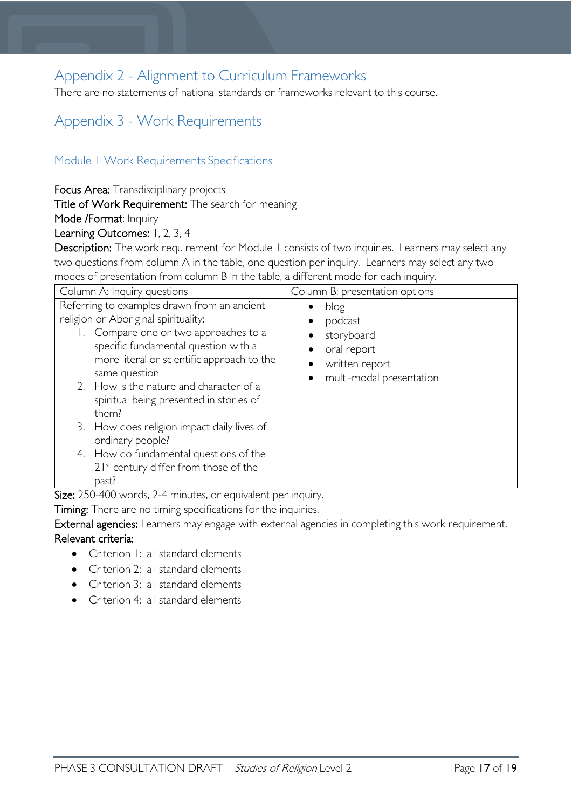# <span id="page-16-0"></span>Appendix 2 - Alignment to Curriculum Frameworks

There are no statements of national standards or frameworks relevant to this course.

# <span id="page-16-1"></span>Appendix 3 - Work Requirements

## <span id="page-16-2"></span>Module 1 Work Requirements Specifications

Focus Area: Transdisciplinary projects

Title of Work Requirement: The search for meaning

Mode /Format: Inquiry

Learning Outcomes: 1, 2, 3, 4

Description: The work requirement for Module 1 consists of two inquiries. Learners may select any two questions from column A in the table, one question per inquiry. Learners may select any two modes of presentation from column B in the table, a different mode for each inquiry.

| Column A: Inquiry questions                                                                                                                                                                                                                                                                                                                                                                                                                                                                   | Column B: presentation options                                                                                                    |  |  |
|-----------------------------------------------------------------------------------------------------------------------------------------------------------------------------------------------------------------------------------------------------------------------------------------------------------------------------------------------------------------------------------------------------------------------------------------------------------------------------------------------|-----------------------------------------------------------------------------------------------------------------------------------|--|--|
| Referring to examples drawn from an ancient<br>religion or Aboriginal spirituality:<br>Compare one or two approaches to a<br>specific fundamental question with a<br>more literal or scientific approach to the<br>same question<br>2. How is the nature and character of a<br>spiritual being presented in stories of<br>them?<br>3. How does religion impact daily lives of<br>ordinary people?<br>4. How do fundamental questions of the<br>21st century differ from those of the<br>past? | blog<br>$\bullet$<br>podcast<br>storyboard<br>oral report<br>$\bullet$<br>written report<br>multi-modal presentation<br>$\bullet$ |  |  |

Size: 250-400 words, 2-4 minutes, or equivalent per inquiry.

Timing: There are no timing specifications for the inquiries.

External agencies: Learners may engage with external agencies in completing this work requirement. Relevant criteria:

- Criterion 1: all standard elements
- Criterion 2: all standard elements
- Criterion 3: all standard elements
- Criterion 4: all standard elements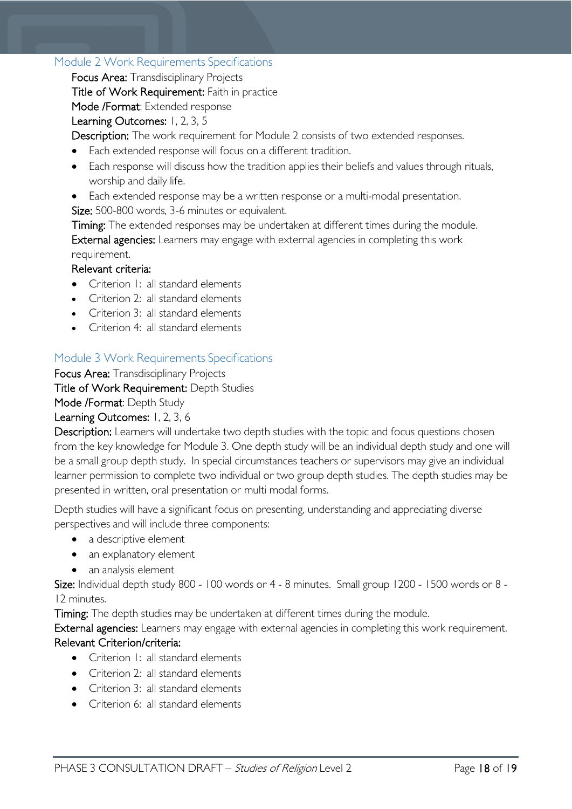## <span id="page-17-0"></span>Module 2 Work Requirements Specifications

Focus Area: Transdisciplinary Projects

Title of Work Requirement: Faith in practice

Mode /Format: Extended response

## Learning Outcomes: 1, 2, 3, 5

Description: The work requirement for Module 2 consists of two extended responses.

- Each extended response will focus on a different tradition.
- Each response will discuss how the tradition applies their beliefs and values through rituals, worship and daily life.
- Each extended response may be a written response or a multi-modal presentation.

Size: 500-800 words, 3-6 minutes or equivalent.

Timing: The extended responses may be undertaken at different times during the module. External agencies: Learners may engage with external agencies in completing this work requirement.

## Relevant criteria:

- Criterion 1: all standard elements
- Criterion 2: all standard elements
- Criterion 3: all standard elements
- Criterion 4: all standard elements

## <span id="page-17-1"></span>Module 3 Work Requirements Specifications

Focus Area: Transdisciplinary Projects

Title of Work Requirement: Depth Studies

Mode /Format: Depth Study

Learning Outcomes: 1, 2, 3, 6

Description: Learners will undertake two depth studies with the topic and focus questions chosen from the key knowledge for Module 3. One depth study will be an individual depth study and one will be a small group depth study. In special circumstances teachers or supervisors may give an individual learner permission to complete two individual or two group depth studies. The depth studies may be presented in written, oral presentation or multi modal forms.

Depth studies will have a significant focus on presenting, understanding and appreciating diverse perspectives and will include three components:

- a descriptive element
- an explanatory element
- an analysis element

Size: Individual depth study 800 - 100 words or 4 - 8 minutes. Small group 1200 - 1500 words or 8 -12 minutes.

Timing: The depth studies may be undertaken at different times during the module.

External agencies: Learners may engage with external agencies in completing this work requirement. Relevant Criterion/criteria:

- Criterion 1: all standard elements
- Criterion 2: all standard elements
- Criterion 3: all standard elements
- Criterion 6: all standard elements